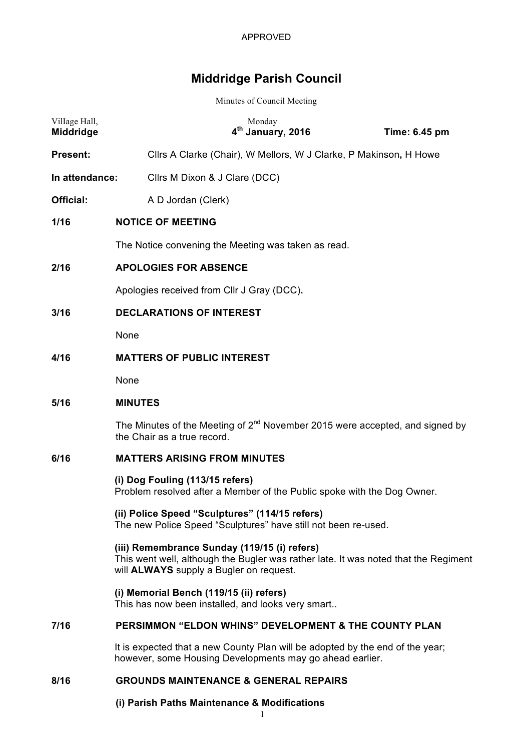# **Middridge Parish Council**

Minutes of Council Meeting

| Village Hall,<br>Middridge | Monday<br>4 <sup>th</sup> January, 2016                                                                                                                                               | Time: 6.45 pm |  |
|----------------------------|---------------------------------------------------------------------------------------------------------------------------------------------------------------------------------------|---------------|--|
| <b>Present:</b>            | Cllrs A Clarke (Chair), W Mellors, W J Clarke, P Makinson, H Howe                                                                                                                     |               |  |
| In attendance:             | Cllrs M Dixon & J Clare (DCC)                                                                                                                                                         |               |  |
| <b>Official:</b>           | A D Jordan (Clerk)                                                                                                                                                                    |               |  |
| 1/16                       | <b>NOTICE OF MEETING</b>                                                                                                                                                              |               |  |
|                            | The Notice convening the Meeting was taken as read.                                                                                                                                   |               |  |
| 2/16                       | <b>APOLOGIES FOR ABSENCE</b>                                                                                                                                                          |               |  |
|                            | Apologies received from CIIr J Gray (DCC).                                                                                                                                            |               |  |
| 3/16                       | <b>DECLARATIONS OF INTEREST</b>                                                                                                                                                       |               |  |
|                            | None                                                                                                                                                                                  |               |  |
| 4/16                       | <b>MATTERS OF PUBLIC INTEREST</b>                                                                                                                                                     |               |  |
|                            | None                                                                                                                                                                                  |               |  |
| 5/16                       | <b>MINUTES</b>                                                                                                                                                                        |               |  |
|                            | The Minutes of the Meeting of 2 <sup>nd</sup> November 2015 were accepted, and signed by<br>the Chair as a true record.                                                               |               |  |
| 6/16                       | <b>MATTERS ARISING FROM MINUTES</b>                                                                                                                                                   |               |  |
|                            | (i) Dog Fouling (113/15 refers)<br>Problem resolved after a Member of the Public spoke with the Dog Owner.                                                                            |               |  |
|                            | (ii) Police Speed "Sculptures" (114/15 refers)<br>The new Police Speed "Sculptures" have still not been re-used.                                                                      |               |  |
|                            | (iii) Remembrance Sunday (119/15 (i) refers)<br>This went well, although the Bugler was rather late. It was noted that the Regiment<br>will <b>ALWAYS</b> supply a Bugler on request. |               |  |
|                            | (i) Memorial Bench (119/15 (ii) refers)<br>This has now been installed, and looks very smart                                                                                          |               |  |
| 7/16                       | PERSIMMON "ELDON WHINS" DEVELOPMENT & THE COUNTY PLAN                                                                                                                                 |               |  |
|                            | It is expected that a new County Plan will be adopted by the end of the year;<br>however, some Housing Developments may go ahead earlier.                                             |               |  |
| 8/16                       | <b>GROUNDS MAINTENANCE &amp; GENERAL REPAIRS</b>                                                                                                                                      |               |  |

# **(i) Parish Paths Maintenance & Modifications**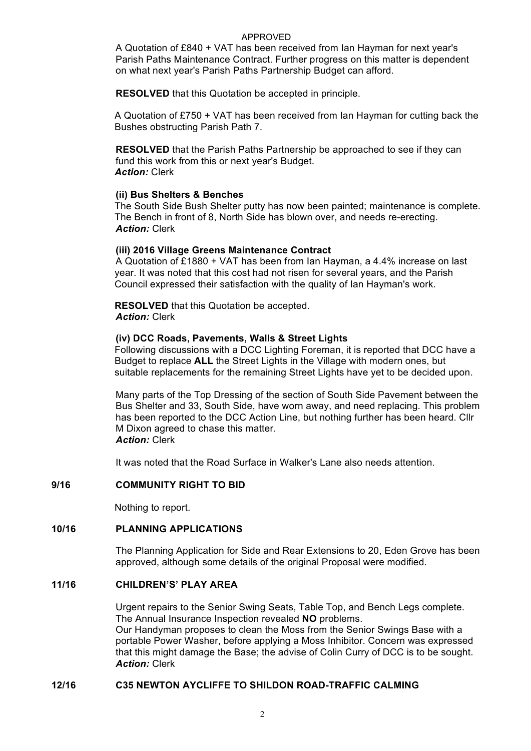#### APPROVED

A Quotation of £840 + VAT has been received from Ian Hayman for next year's Parish Paths Maintenance Contract. Further progress on this matter is dependent on what next year's Parish Paths Partnership Budget can afford.

**RESOLVED** that this Quotation be accepted in principle.

A Quotation of £750 + VAT has been received from Ian Hayman for cutting back the Bushes obstructing Parish Path 7.

**RESOLVED** that the Parish Paths Partnership be approached to see if they can fund this work from this or next year's Budget. *Action:* Clerk

#### **(ii) Bus Shelters & Benches**

The South Side Bush Shelter putty has now been painted; maintenance is complete. The Bench in front of 8, North Side has blown over, and needs re-erecting. *Action:* Clerk

#### **(iii) 2016 Village Greens Maintenance Contract**

A Quotation of £1880 + VAT has been from Ian Hayman, a 4.4% increase on last year. It was noted that this cost had not risen for several years, and the Parish Council expressed their satisfaction with the quality of Ian Hayman's work.

**RESOLVED** that this Quotation be accepted. *Action:* Clerk

#### **(iv) DCC Roads, Pavements, Walls & Street Lights**

Following discussions with a DCC Lighting Foreman, it is reported that DCC have a Budget to replace **ALL** the Street Lights in the Village with modern ones, but suitable replacements for the remaining Street Lights have yet to be decided upon.

Many parts of the Top Dressing of the section of South Side Pavement between the Bus Shelter and 33, South Side, have worn away, and need replacing. This problem has been reported to the DCC Action Line, but nothing further has been heard. Cllr M Dixon agreed to chase this matter. *Action:* Clerk

It was noted that the Road Surface in Walker's Lane also needs attention.

# **9/16 COMMUNITY RIGHT TO BID**

Nothing to report.

#### **10/16 PLANNING APPLICATIONS**

The Planning Application for Side and Rear Extensions to 20, Eden Grove has been approved, although some details of the original Proposal were modified.

# **11/16 CHILDREN'S' PLAY AREA**

Urgent repairs to the Senior Swing Seats, Table Top, and Bench Legs complete. The Annual Insurance Inspection revealed **NO** problems. Our Handyman proposes to clean the Moss from the Senior Swings Base with a portable Power Washer, before applying a Moss Inhibitor. Concern was expressed that this might damage the Base; the advise of Colin Curry of DCC is to be sought. *Action:* Clerk

#### **12/16 C35 NEWTON AYCLIFFE TO SHILDON ROAD-TRAFFIC CALMING**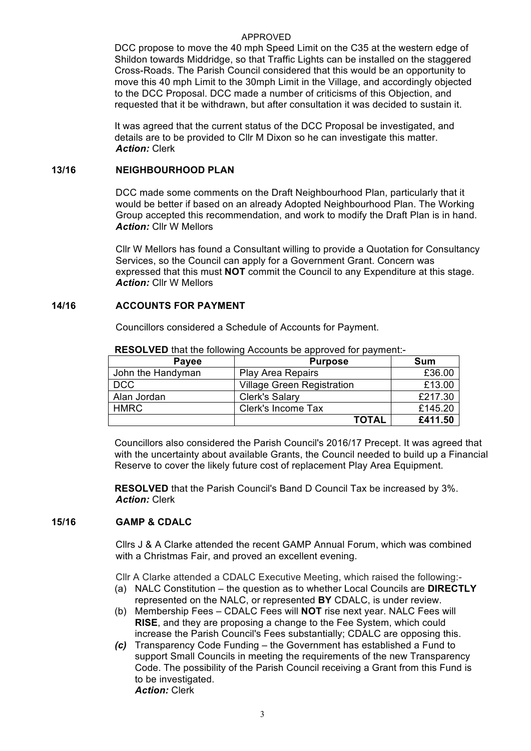#### APPROVED

DCC propose to move the 40 mph Speed Limit on the C35 at the western edge of Shildon towards Middridge, so that Traffic Lights can be installed on the staggered Cross-Roads. The Parish Council considered that this would be an opportunity to move this 40 mph Limit to the 30mph Limit in the Village, and accordingly objected to the DCC Proposal. DCC made a number of criticisms of this Objection, and requested that it be withdrawn, but after consultation it was decided to sustain it.

It was agreed that the current status of the DCC Proposal be investigated, and details are to be provided to Cllr M Dixon so he can investigate this matter. *Action:* Clerk

#### **13/16 NEIGHBOURHOOD PLAN**

DCC made some comments on the Draft Neighbourhood Plan, particularly that it would be better if based on an already Adopted Neighbourhood Plan. The Working Group accepted this recommendation, and work to modify the Draft Plan is in hand. *Action:* Cllr W Mellors

Cllr W Mellors has found a Consultant willing to provide a Quotation for Consultancy Services, so the Council can apply for a Government Grant. Concern was expressed that this must **NOT** commit the Council to any Expenditure at this stage. *Action:* Cllr W Mellors

#### **14/16 ACCOUNTS FOR PAYMENT**

Councillors considered a Schedule of Accounts for Payment.

| Payee             | <b>Purpose</b>                    | Sum     |  |
|-------------------|-----------------------------------|---------|--|
| John the Handyman | <b>Play Area Repairs</b>          | £36.00  |  |
| <b>DCC</b>        | <b>Village Green Registration</b> | £13.00  |  |
| Alan Jordan       | <b>Clerk's Salary</b>             | £217.30 |  |
| <b>HMRC</b>       | Clerk's Income Tax                | £145.20 |  |
|                   | TOTAL                             | £411.50 |  |

**RESOLVED** that the following Accounts be approved for payment:-

Councillors also considered the Parish Council's 2016/17 Precept. It was agreed that with the uncertainty about available Grants, the Council needed to build up a Financial Reserve to cover the likely future cost of replacement Play Area Equipment.

**RESOLVED** that the Parish Council's Band D Council Tax be increased by 3%. *Action:* Clerk

# **15/16 GAMP & CDALC**

Cllrs J & A Clarke attended the recent GAMP Annual Forum, which was combined with a Christmas Fair, and proved an excellent evening.

Cllr A Clarke attended a CDALC Executive Meeting, which raised the following:-

- (a) NALC Constitution the question as to whether Local Councils are **DIRECTLY** represented on the NALC, or represented **BY** CDALC, is under review.
- (b) Membership Fees CDALC Fees will **NOT** rise next year. NALC Fees will **RISE**, and they are proposing a change to the Fee System, which could increase the Parish Council's Fees substantially; CDALC are opposing this.
- *(c)* Transparency Code Funding the Government has established a Fund to support Small Councils in meeting the requirements of the new Transparency Code. The possibility of the Parish Council receiving a Grant from this Fund is to be investigated. *Action:* Clerk